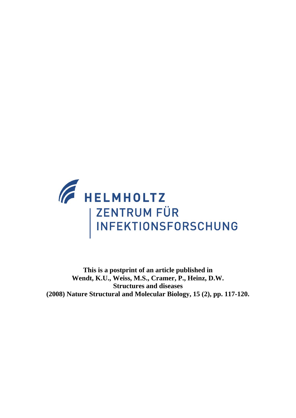

**This is a postprint of an article published in Wendt, K.U., Weiss, M.S., Cramer, P., Heinz, D.W. Structures and diseases (2008) Nature Structural and Molecular Biology, 15 (2), pp. 117-120.**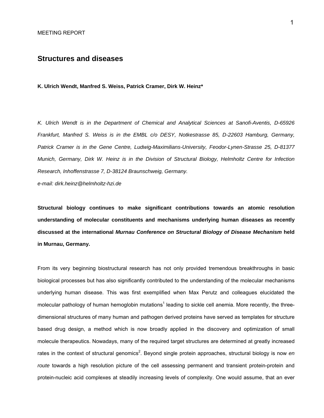## **Structures and diseases**

**K. Ulrich Wendt, Manfred S. Weiss, Patrick Cramer, Dirk W. Heinz\*** 

*K. Ulrich Wendt is in the Department of Chemical and Analytical Sciences at Sanofi-Aventis, D-65926 Frankfurt, Manfred S. Weiss is in the EMBL c/o DESY, Notkestrasse 85, D-22603 Hamburg, Germany, Patrick Cramer is in the Gene Centre, Ludwig-Maximilians-University, Feodor-Lynen-Strasse 25, D-81377 Munich, Germany, Dirk W. Heinz is in the Division of Structural Biology, Helmholtz Centre for Infection Research, Inhoffenstrasse 7, D-38124 Braunschweig, Germany.* 

*e-mail: dirk.heinz@helmholtz-hzi.de* 

**Structural biology continues to make significant contributions towards an atomic resolution understanding of molecular constituents and mechanisms underlying human diseases as recently discussed at the international** *Murnau Conference on Structural Biology of Disease Mechanism* **held in Murnau, Germany.** 

From its very beginning biostructural research has not only provided tremendous breakthroughs in basic biological processes but has also significantly contributed to the understanding of the molecular mechanisms underlying human disease. This was first exemplified when Max Perutz and colleagues elucidated the molecular pathology of human hemoglobin mutations<sup>1</sup> leading to sickle cell anemia. More recently, the threedimensional structures of many human and pathogen derived proteins have served as templates for structure based drug design, a method which is now broadly applied in the discovery and optimization of small molecule therapeutics. Nowadays, many of the required target structures are determined at greatly increased rates in the context of structural genomics<sup>2</sup>. Beyond single protein approaches, structural biology is now *en route* towards a high resolution picture of the cell assessing permanent and transient protein-protein and protein-nucleic acid complexes at steadily increasing levels of complexity. One would assume, that an ever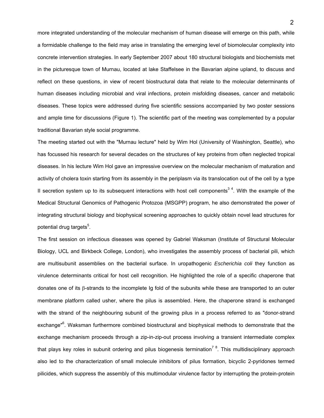more integrated understanding of the molecular mechanism of human disease will emerge on this path, while a formidable challenge to the field may arise in translating the emerging level of biomolecular complexity into concrete intervention strategies. In early September 2007 about 180 structural biologists and biochemists met in the picturesque town of Murnau, located at lake Staffelsee in the Bavarian alpine upland, to discuss and reflect on these questions, in view of recent biostructural data that relate to the molecular determinants of human diseases including microbial and viral infections, protein misfolding diseases, cancer and metabolic diseases. These topics were addressed during five scientific sessions accompanied by two poster sessions and ample time for discussions (Figure 1). The scientific part of the meeting was complemented by a popular traditional Bavarian style social programme.

The meeting started out with the "Murnau lecture" held by Wim Hol (University of Washington, Seattle), who has focussed his research for several decades on the structures of key proteins from often neglected tropical diseases. In his lecture Wim Hol gave an impressive overview on the molecular mechanism of maturation and activity of cholera toxin starting from its assembly in the periplasm via its translocation out of the cell by a type II secretion system up to its subsequent interactions with host cell components<sup>34</sup>. With the example of the Medical Structural Genomics of Pathogenic Protozoa (MSGPP) program, he also demonstrated the power of integrating structural biology and biophysical screening approaches to quickly obtain novel lead structures for potential drug targets<sup>5</sup>.

The first session on infectious diseases was opened by Gabriel Waksman (Institute of Structural Molecular Biology, UCL and Birkbeck College, London), who investigates the assembly process of bacterial pili, which are multisubunit assemblies on the bacterial surface. In uropathogenic *Escherichia coli* they function as virulence determinants critical for host cell recognition. He highlighted the role of a specific chaperone that donates one of its β-strands to the incomplete Ig fold of the subunits while these are transported to an outer membrane platform called usher, where the pilus is assembled. Here, the chaperone strand is exchanged with the strand of the neighbouring subunit of the growing pilus in a process referred to as "donor-strand exchange"<sup>6</sup>. Waksman furthermore combined biostructural and biophysical methods to demonstrate that the exchange mechanism proceeds through a zip-in-zip-out process involving a transient intermediate complex that plays key roles in subunit ordering and pilus biogenesis termination<sup>78</sup>. This multidisciplinary approach also led to the characterization of small molecule inhibitors of pilus formation, bicyclic 2-pyridones termed pilicides, which suppress the assembly of this multimodular virulence factor by interrupting the protein-protein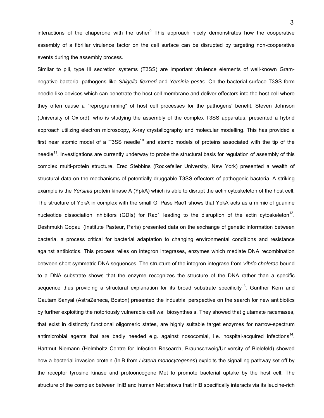interactions of the chaperone with the usher<sup>9</sup> This approach nicely demonstrates how the cooperative assembly of a fibrillar virulence factor on the cell surface can be disrupted by targeting non-cooperative events during the assembly process.

Similar to pili, type III secretion systems (T3SS) are important virulence elements of well-known Gramnegative bacterial pathogens like *Shigella flexneri* and *Yersinia pestis*. On the bacterial surface T3SS form needle-like devices which can penetrate the host cell membrane and deliver effectors into the host cell where they often cause a "reprogramming" of host cell processes for the pathogens' benefit. Steven Johnson (University of Oxford), who is studying the assembly of the complex T3SS apparatus, presented a hybrid approach utilizing electron microscopy, X-ray crystallography and molecular modelling. This has provided a first near atomic model of a T3SS needle<sup>10</sup> and atomic models of proteins associated with the tip of the needle<sup>11</sup>. Investigations are currently underway to probe the structural basis for regulation of assembly of this complex multi-protein structure. Erec Stebbins (Rockefeller University, New York) presented a wealth of structural data on the mechanisms of potentially druggable T3SS effectors of pathogenic bacteria. A striking example is the *Yersinia* protein kinase A (YpkA) which is able to disrupt the actin cytoskeleton of the host cell. The structure of YpkA in complex with the small GTPase Rac1 shows that YpkA acts as a mimic of guanine nucleotide dissociation inhibitors (GDIs) for Rac1 leading to the disruption of the actin cytoskeleton<sup>12</sup>. Deshmukh Gopaul (Institute Pasteur, Paris) presented data on the exchange of genetic information between bacteria, a process critical for bacterial adaptation to changing environmental conditions and resistance against antibiotics. This process relies on integron integrases, enzymes which mediate DNA recombination between short symmetric DNA sequences. The structure of the integron integrase from *Vibrio cholerae* bound to a DNA substrate shows that the enzyme recognizes the structure of the DNA rather than a specific sequence thus providing a structural explanation for its broad substrate specificity<sup>13</sup>. Gunther Kern and Gautam Sanyal (AstraZeneca, Boston) presented the industrial perspective on the search for new antibiotics by further exploiting the notoriously vulnerable cell wall biosynthesis. They showed that glutamate racemases, that exist in distinctly functional oligomeric states, are highly suitable target enzymes for narrow-spectrum antimicrobial agents that are badly needed e.g. against nosocomial, i.e. hospital-acquired infections<sup>14</sup>. Hartmut Niemann (Helmholtz Centre for Infection Research, Braunschweig/University of Bielefeld) showed how a bacterial invasion protein (InlB from *Listeria monocytogenes*) exploits the signalling pathway set off by the receptor tyrosine kinase and protooncogene Met to promote bacterial uptake by the host cell. The structure of the complex between InlB and human Met shows that InlB specifically interacts via its leucine-rich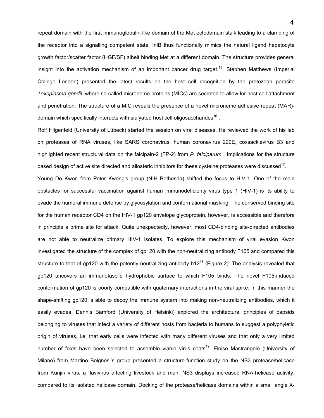repeat domain with the first immunoglobulin-like domain of the Met ectodomain stalk leading to a clamping of the receptor into a signalling competent state. InlB thus functionally mimics the natural ligand hepatocyte growth factor/scatter factor (HGF/SF) albeit binding Met at a different domain. The structure provides general insight into the activation mechanism of an important cancer drug target.<sup>15</sup>. Stephen Matthews (Imperial College London) presented the latest results on the host cell recognition by the protozoan parasite *Toxoplasma gondii*, where so-called microneme proteins (MICs) are secreted to allow for host cell attachment and penetration. The structure of a MIC reveals the presence of a novel microneme adhesive repeat (MAR) domain which specifically interacts with sialyated host cell oligosaccharides<sup>16</sup>.

Rolf Hilgenfeld (University of Lübeck) started the session on viral diseases. He reviewed the work of his lab on proteases of RNA viruses, like SARS coronavirus, human coronavirus 229E, coxsackievirus B3 and highlighted recent structural data on the falcipain-2 (FP-2) from *P. falciparum* . Implications for the structure based design of active site directed and allosteric inhibitors for these cysteine proteases were discussed $17$ .

Young Do Kwon from Peter Kwong's group (NIH Bethesda) shifted the focus to HIV-1. One of the main obstacles for successful vaccination against human immunodeficienty virus type 1 (HIV-1) is its ability to evade the humoral immune defense by glycosylation and conformational masking. The conserved binding site for the human receptor CD4 on the HIV-1 gp120 envelope glycoprotein, however, is accessible and therefore in principle a prime site for attack. Quite unexpectedly, however, most CD4-binding site-directed antibodies are not able to neutralize primary HIV-1 isolates. To explore this mechanism of viral evasion Kwon investigated the structure of the complex of gp120 with the non-neutralizing antibody F105 and compared this structure to that of gp120 with the potently neutralizing antibody  $b12^{18}$  (Figure 2). The analysis revealed that gp120 uncovers an immunofascile hydrophobic surface to which F105 binds. The novel F105-induced conformation of gp120 is poorly compatible with quaternary interactions in the viral spike. In this manner the shape-shifting gp120 is able to decoy the immune system into making non-neutralizing antibodies, which it easily evades. Dennis Bamford (University of Helsinki) explored the architectural principles of capsids belonging to viruses that infect a variety of different hosts from bacteria to humans to suggest a polyphyletic origin of viruses, i.e. that early cells were infected with many different viruses and that only a very limited number of folds have been selected to assemble viable virus coats<sup>19</sup>. Eloise Mastrangelo (University of Milano) from Martino Bolgnesi's group presented a structure-function study on the NS3 protease/helicase from Kunjin virus, a flavivirus affecting livestock and man. NS3 displays increased RNA-helicase activity, compared to its isolated helicase domain. Docking of the protease/helicase domains within a small angle X-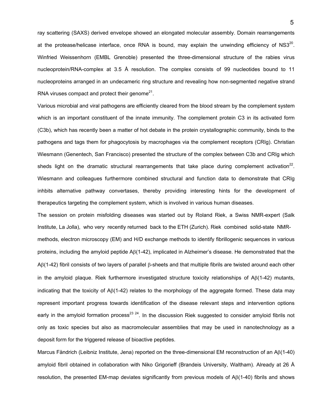ray scattering (SAXS) derived envelope showed an elongated molecular assembly. Domain rearrangements at the protease/helicase interface, once RNA is bound, may explain the unwinding efficiency of NS $3^{20}$ . Winfried Weissenhorn (EMBL Grenoble) presented the three-dimensional structure of the rabies virus nucleoprotein/RNA-complex at 3.5 Å resolution. The complex consists of 99 nucleotides bound to 11 nucleoproteins arranged in an undecameric ring structure and revealing how non-segmented negative strand RNA viruses compact and protect their genome $2^1$ .

Various microbial and viral pathogens are efficiently cleared from the blood stream by the complement system which is an important constituent of the innate immunity. The complement protein C3 in its activated form (C3b), which has recently been a matter of hot debate in the protein crystallographic community, binds to the pathogens and tags them for phagocytosis by macrophages via the complement receptors (CRIg). Christian Wiesmann (Genentech, San Francisco) presented the structure of the complex between C3b and CRIg which sheds light on the dramatic structural rearrangements that take place during complement activation<sup>22</sup>. Wiesmann and colleagues furthermore combined structural and function data to demonstrate that CRIg inhbits alternative pathway convertases, thereby providing interesting hints for the development of therapeutics targeting the complement system, which is involved in various human diseases.

The session on protein misfolding diseases was started out by Roland Riek, a Swiss NMR-expert (Salk Institute, La Jolla), who very recently returned back to the ETH (Zurich). Riek combined solid-state NMRmethods, electron microscopy (EM) and H/D exchange methods to identify fibrillogenic sequences in various proteins, including the amyloid peptide Aβ(1-42), implicated in Alzheimer's disease. He demonstrated that the Aβ(1-42) fibril consists of two layers of parallel β-sheets and that multiple fibrils are twisted around each other in the amyloid plaque. Riek furthermore investigated structure toxicity relationships of  $A\beta(1-42)$  mutants, indicating that the toxicity of  $A\beta(1-42)$  relates to the morphology of the aggregate formed. These data may represent important progress towards identification of the disease relevant steps and intervention options early in the amyloid formation process<sup>23 24</sup>. In the discussion Riek suggested to consider amyloid fibrils not only as toxic species but also as macromolecular assemblies that may be used in nanotechnology as a deposit form for the triggered release of bioactive peptides.

Marcus Fändrich (Leibniz Institute, Jena) reported on the three-dimensional EM reconstruction of an Aβ(1-40) amyloid fibril obtained in collaboration with Niko Grigorieff (Brandeis University, Waltham). Already at 26 Å resolution, the presented EM-map deviates significantly from previous models of  $A\beta(1-40)$  fibrils and shows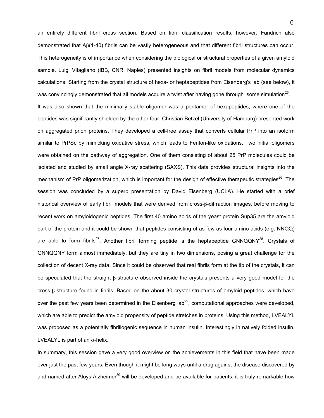an entirely different fibril cross section. Based on fibril classification results, however, Fändrich also demonstrated that Aβ(1-40) fibrils can be vastly heterogeneous and that different fibril structures can occur. This heterogeneity is of importance when considering the biological or structural properties of a given amyloid sample. Luigi Vitagliano (IBB, CNR, Naples) presented insights on fibril models from molecular dynamics calculations. Starting from the crystal structure of hexa- or heptapeptides from Eisenberg's lab (see below), it was convincingly demonstrated that all models acquire a twist after having gone through some simulation<sup>25</sup>. It was also shown that the minimally stable oligomer was a pentamer of hexapeptides, where one of the peptides was significantly shielded by the other four. Christian Betzel (University of Hamburg) presented work on aggregated prion proteins. They developed a cell-free assay that converts cellular PrP into an isoform similar to PrPSc by mimicking oxidative stress, which leads to Fenton-like oxidations. Two initial oligomers were obtained on the pathway of aggregation. One of them consisting of about 25 PrP molecules could be isolated and studied by small angle X-ray scattering (SAXS). This data provides structural insights into the mechanism of PrP oligomerization, which is important for the design of effective therapeutic strategies<sup>26</sup>. The session was concluded by a superb presentation by David Eisenberg (UCLA). He started with a brief historical overview of early fibril models that were derived from cross-β-diffraction images, before moving to recent work on amyloidogenic peptides. The first 40 amino acids of the yeast protein Sup35 are the amyloid part of the protein and it could be shown that peptides consisting of as few as four amino acids (e.g. NNQQ) are able to form fibrils<sup>27</sup>. Another fibril forming peptide is the heptapeptide GNNQQNY<sup>28</sup>. Crystals of GNNQQNY form almost immediately, but they are tiny in two dimensions, posing a great challenge for the collection of decent X-ray data. Since it could be observed that real fibrils form at the tip of the crystals, it can be speculated that the straight β-structure observed inside the crystals presents a very good model for the cross-β-structure found in fibrils. Based on the about 30 crystal structures of amyloid peptides, which have over the past few years been determined in the Eisenberg  $\text{lab}^{29}$ , computational approaches were developed, which are able to predict the amyloid propensity of peptide stretches in proteins. Using this method, LVEALYL was proposed as a potentially fibrillogenic sequence in human insulin. Interestingly in natively folded insulin, LVEALYL is part of an  $\alpha$ -helix.

In summary, this session gave a very good overview on the achievements in this field that have been made over just the past few years. Even though it might be long ways until a drug against the disease discovered by and named after Aloys Alzheimer<sup>30</sup> will be developed and be available for patients, it is truly remarkable how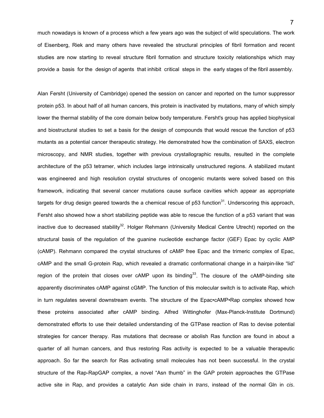much nowadays is known of a process which a few years ago was the subject of wild speculations. The work of Eisenberg, Riek and many others have revealed the structural principles of fibril formation and recent studies are now starting to reveal structure fibril formation and structure toxicity relationships which may provide a basis for the design of agents that inhibit critical steps in the early stages of the fibril assembly.

Alan Fersht (University of Cambridge) opened the session on cancer and reported on the tumor suppressor protein p53. In about half of all human cancers, this protein is inactivated by mutations, many of which simply lower the thermal stability of the core domain below body temperature. Fersht's group has applied biophysical and biostructural studies to set a basis for the design of compounds that would rescue the function of p53 mutants as a potential cancer therapeutic strategy. He demonstrated how the combination of SAXS, electron microscopy, and NMR studies, together with previous crystallographic results, resulted in the complete architecture of the p53 tetramer, which includes large intrinsically unstructured regions. A stabilized mutant was engineered and high resolution crystal structures of oncogenic mutants were solved based on this framework, indicating that several cancer mutations cause surface cavities which appear as appropriate targets for drug design geared towards the a chemical rescue of  $p53$  function<sup>31</sup>. Underscoring this approach, Fersht also showed how a short stabilizing peptide was able to rescue the function of a p53 variant that was inactive due to decreased stability<sup>32</sup>. Holger Rehmann (University Medical Centre Utrecht) reported on the structural basis of the regulation of the guanine nucleotide exchange factor (GEF) Epac by cyclic AMP (cAMP). Rehmann compared the crystal structures of cAMP free Epac and the trimeric complex of Epac, cAMP and the small G-protein Rap, which revealed a dramatic conformational change in a hairpin-like "lid" region of the protein that closes over  $cAMP$  upon its binding<sup>33</sup>. The closure of the  $cAMP$ -binding site apparently discriminates cAMP against cGMP. The function of this molecular switch is to activate Rap, which in turn regulates several downstream events. The structure of the Epac•cAMP•Rap complex showed how these proteins associated after cAMP binding. Alfred Wittinghofer (Max-Planck-Institute Dortmund) demonstrated efforts to use their detailed understanding of the GTPase reaction of Ras to devise potential strategies for cancer therapy. Ras mutations that decrease or abolish Ras function are found in about a quarter of all human cancers, and thus restoring Ras activity is expected to be a valuable therapeutic approach. So far the search for Ras activating small molecules has not been successful. In the crystal structure of the Rap-RapGAP complex, a novel "Asn thumb" in the GAP protein approaches the GTPase active site in Rap, and provides a catalytic Asn side chain in *trans*, instead of the normal Gln in *cis*.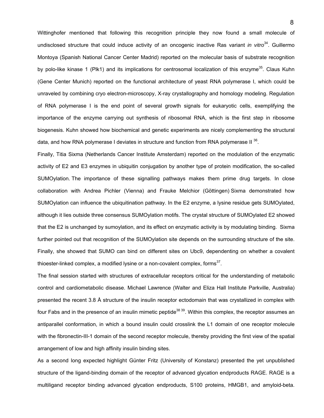Wittinghofer mentioned that following this recognition principle they now found a small molecule of undisclosed structure that could induce activity of an oncogenic inactive Ras variant *in vitro*<sup>34</sup>. Guillermo Montoya (Spanish National Cancer Center Madrid) reported on the molecular basis of substrate recognition by polo-like kinase 1 (Plk1) and its implications for centrosomal localization of this enzyme<sup>35</sup>. Claus Kuhn (Gene Center Munich) reported on the functional architecture of yeast RNA polymerase I, which could be unraveled by combining cryo electron-microscopy, X-ray crystallography and homology modeling. Regulation of RNA polymerase I is the end point of several growth signals for eukaryotic cells, exemplifying the importance of the enzyme carrying out synthesis of ribosomal RNA, which is the first step in ribosome biogenesis. Kuhn showed how biochemical and genetic experiments are nicely complementing the structural data, and how RNA polymerase I deviates in structure and function from RNA polymerase II  $^{36}$ .

Finally, Titia Sixma (Netherlands Cancer Institute Amsterdam) reported on the modulation of the enzymatic activity of E2 and E3 enzymes in ubiquitin conjugation by another type of protein modification, the so-called SUMOylation. The importance of these signalling pathways makes them prime drug targets. In close collaboration with Andrea Pichler (Vienna) and Frauke Melchior (Göttingen) Sixma demonstrated how SUMOylation can influence the ubiquitination pathway. In the E2 enzyme, a lysine residue gets SUMOylated, although it lies outside three consensus SUMOylation motifs. The crystal structure of SUMOylated E2 showed that the E2 is unchanged by sumoylation, and its effect on enzymatic activity is by modulating binding. Sixma further pointed out that recognition of the SUMOylation site depends on the surrounding structure of the site. Finally, she showed that SUMO can bind on different sites on Ubc9, dependenting on whether a covalent thioester-linked complex, a modified lysine or a non-covalent complex, forms $37$ .

The final session started with structures of extracellular receptors critical for the understanding of metabolic control and cardiometabolic disease. Michael Lawrence (Walter and Eliza Hall Institute Parkville, Australia) presented the recent 3.8 Å structure of the insulin receptor ectodomain that was crystallized in complex with four Fabs and in the presence of an insulin mimetic peptide<sup>38 39</sup>. Within this complex, the receptor assumes an antiparallel conformation, in which a bound insulin could crosslink the L1 domain of one receptor molecule with the fibronectin-III-1 domain of the second receptor molecule, thereby providing the first view of the spatial arrangement of low and high affinity insulin binding sites.

As a second long expected highlight Günter Fritz (University of Konstanz) presented the yet unpublished structure of the ligand-binding domain of the receptor of advanced glycation endproducts RAGE. RAGE is a multiligand receptor binding advanced glycation endproducts, S100 proteins, HMGB1, and amyloid-beta.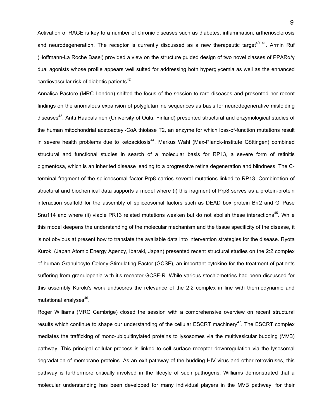Activation of RAGE is key to a number of chronic diseases such as diabetes, inflammation, artheriosclerosis and neurodegeneration. The receptor is currently discussed as a new therapeutic target<sup>40 41</sup>. Armin Ruf (Hoffmann-La Roche Basel) provided a view on the structure guided design of two novel classes of PPARα/γ dual agonists whose profile appears well suited for addressing both hyperglycemia as well as the enhanced cardiovascular risk of diabetic patients $42$ .

Annalisa Pastore (MRC London) shifted the focus of the session to rare diseases and presented her recent findings on the anomalous expansion of polyglutamine sequences as basis for neurodegenerative misfolding diseases<sup>43</sup>. Antti Haapalainen (University of Oulu, Finland) presented structural and enzymological studies of the human mitochondrial acetoacteyl-CoA thiolase T2, an enzyme for which loss-of-function mutations result in severe health problems due to ketoacidosis<sup>44</sup>. Markus Wahl (Max-Planck-Institute Göttingen) combined structural and functional studies in search of a molecular basis for RP13, a severe form of retinitis pigmentosa, which is an inherited disease leading to a progressive retina degeneration and blindness. The Cterminal fragment of the spliceosomal factor Prp8 carries several mutations linked to RP13. Combination of structural and biochemical data supports a model where (i) this fragment of Prp8 serves as a protein-protein interaction scaffold for the assembly of spliceosomal factors such as DEAD box protein Brr2 and GTPase Snu114 and where (ii) viable PR13 related mutations weaken but do not abolish these interactions<sup>45</sup>. While this model deepens the understanding of the molecular mechanism and the tissue specificity of the disease, it is not obvious at present how to translate the available data into intervention strategies for the disease. Ryota Kuroki (Japan Atomic Energy Agency, Ibaraki, Japan) presented recent structural studies on the 2:2 complex of human Granulocyte Colony-Stimulating Factor (GCSF), an important cytokine for the treatment of patients suffering from granulopenia with it's receptor GCSF-R. While various stochiometries had been discussed for this assembly Kuroki's work undscores the relevance of the 2:2 complex in line with thermodynamic and mutational analyses $46$ .

Roger Williams (MRC Cambrige) closed the session with a comprehensive overview on recent structural results which continue to shape our understanding of the cellular ESCRT machinery<sup>47</sup>. The ESCRT complex mediates the trafficking of mono-ubiquitinylated proteins to lysosomes via the multivesicular budding (MVB) pathway. This principal cellular process is linked to cell surface receptor downregulation via the lysosomal degradation of membrane proteins. As an exit pathway of the budding HIV virus and other retroviruses, this pathway is furthermore critically involved in the lifecyle of such pathogens. Williams demonstrated that a molecular understanding has been developed for many individual players in the MVB pathway, for their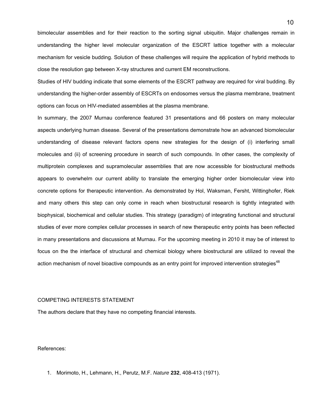bimolecular assemblies and for their reaction to the sorting signal ubiquitin. Major challenges remain in understanding the higher level molecular organization of the ESCRT lattice together with a molecular mechanism for vesicle budding. Solution of these challenges will require the application of hybrid methods to close the resolution gap between X-ray structures and current EM reconstructions.

Studies of HIV budding indicate that some elements of the ESCRT pathway are required for viral budding. By understanding the higher-order assembly of ESCRTs on endosomes versus the plasma membrane, treatment options can focus on HIV-mediated assemblies at the plasma membrane.

In summary, the 2007 Murnau conference featured 31 presentations and 66 posters on many molecular aspects underlying human disease. Several of the presentations demonstrate how an advanced biomolecular understanding of disease relevant factors opens new strategies for the design of (i) interfering small molecules and (ii) of screening procedure in search of such compounds. In other cases, the complexity of multiprotein complexes and supramolecular assemblies that are now accessible for biostructural methods appears to overwhelm our current ability to translate the emerging higher order biomolecular view into concrete options for therapeutic intervention. As demonstrated by Hol, Waksman, Fersht, Wittinghofer, Riek and many others this step can only come in reach when biostructural research is tightly integrated with biophysical, biochemical and cellular studies. This strategy (paradigm) of integrating functional and structural studies of ever more complex cellular processes in search of new therapeutic entry points has been reflected in many presentations and discussions at Murnau. For the upcoming meeting in 2010 it may be of interest to focus on the the interface of structural and chemical biology where biostructural are utilized to reveal the action mechanism of novel bioactive compounds as an entry point for improved intervention strategies<sup>48</sup>

## COMPETING INTERESTS STATEMENT

The authors declare that they have no competing financial interests.

## References:

1. Morimoto, H., Lehmann, H., Perutz, M.F. *Nature* **232**, 408-413 (1971).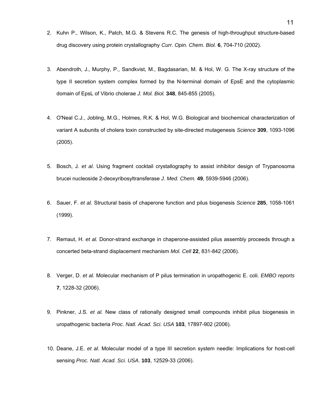- 2. Kuhn P., Wilson, K., Patch, M.G. & Stevens R.C. [The genesis of high-throughput structure-based](http://www.atcg3d.org/PDF/Kuhn_CurrOpChemBiol2002.pdf)  [drug discovery using protein crystallography](http://www.atcg3d.org/PDF/Kuhn_CurrOpChemBiol2002.pdf) *Curr. Opin. Chem. Biol.* **6**, 704-710 (2002).
- 3. Abendroth, J., Murphy, P., Sandkvist, M., Bagdasarian, M. & Hol, W. G. The X-ray structure of the type II secretion system complex formed by the N-terminal domain of EpsE and the cytoplasmic domain of EpsL of Vibrio cholerae *J. Mol. Biol.* **348**, 845-855 (2005).
- 4. O'Neal C.J., Jobling, M.G., Holmes, R.K. & Hol, W.G. Biological and biochemical characterization of variant A subunits of cholera toxin constructed by site-directed mutagenesis *Science* **309**, 1093-1096 (2005).
- 5. Bosch, J. *et al*. Using fragment cocktail crystallography to assist inhibitor design of Trypanosoma brucei nucleoside 2-deoxyribosyltransferase *J. Med. Chem.* **49**, 5939-5946 (2006).
- 6. Sauer, F. *et al.* Structural basis of chaperone function and pilus biogenesis *Science* **285**, 1058-1061 (1999).
- 7. Remaut, H. *et al.* [Donor-strand exchange in chaperone-assisted pilus assembly proceeds through a](http://people.cryst.bbk.ac.uk/%7Eubcg54a/saf1.html)  [concerted beta-strand displacement mechanism](http://people.cryst.bbk.ac.uk/%7Eubcg54a/saf1.html) *Mol. Cell* **22**, 831-842 (2006).
- 8. Verger, D. *et al.* Molecular mechanism of P pilus termination in uropathogenic E. coli. *EMBO reports* **7**, 1228-32 (2006).
- 9. Pinkner, J.S. *et al.* New class of rationally designed small compounds inhibit pilus biogenesis in uropathogenic bacteria *Proc. Natl. Acad. Sci. USA* **103**, 17897-902 (2006).
- 10. Deane, J.E. *et al*. Molecular model of a type III secretion system needle: Implications for host-cell sensing *Proc. Natl. Acad. Sci. USA*. **103**, 12529-33 (2006).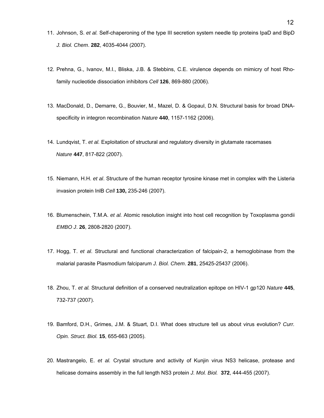- 11. Johnson, S. *et al.* Self-chaperoning of the type III secretion system needle tip proteins IpaD and BipD *J. Biol. Chem*. **282**, 4035-4044 (2007).
- 12. Prehna, G., Ivanov, M.I., Bliska, J.B. & Stebbins, C.E. virulence depends on mimicry of host Rhofamily nucleotide dissociation inhibitors *Cell* **126**, 869-880 (2006).
- 13. MacDonald, D., Demarre, G., Bouvier, M., Mazel, D. & Gopaul, D.N. Structural basis for broad DNAspecificity in integron recombination *Nature* **440**, 1157-1162 (2006).
- 14. Lundqvist, T. *et al.* Exploitation of structural and regulatory diversity in glutamate racemases *Nature* **447**, 817-822 (2007).
- 15. Niemann, H.H. *et al*. Structure of the human receptor tyrosine kinase met in complex with the Listeria invasion protein InlB *Cell* **130,** 235-246 (2007).
- 16. Blumenschein, T.M.A. *et al.* Atomic resolution insight into host cell recognition by Toxoplasma gondii *EMBO J*. **26**, 2808-2820 (2007).
- 17. Hogg, T. *et al*. Structural and functional characterization of falcipain-2, a hemoglobinase from the malarial parasite Plasmodium falciparum *J. Biol. Chem*. **281**, 25425-25437 (2006).
- 18. Zhou, T. *et al.* Structural definition of a conserved neutralization epitope on HIV-1 gp120 *Nature* **445**, 732-737 (2007).
- 19. Bamford, D.H., Grimes, J.M. & Stuart, D.I. What does structure tell us about virus evolution? *Curr. Opin. Struct. Biol.* **15**, 655-663 (2005).
- 20. Mastrangelo, E. *et al.* Crystal structure and activity of Kunjin virus NS3 helicase, protease and helicase domains assembly in the full length NS3 protein *J. Mol. Biol.* **372**, 444-455 (2007).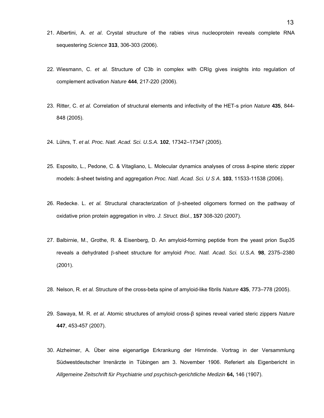- 21. Albertini, A. *et al*. Crystal structure of the rabies virus nucleoprotein reveals complete RNA sequestering *Science* **313**, 306-303 (2006).
- 22. Wiesmann, C. *et al.* Structure of C3b in complex with CRIg gives insights into regulation of complement activation *Nature* **444**, 217-220 (2006).
- 23. Ritter, C. *et al.* Correlation of structural elements and infectivity of the HET-s prion *Nature* **435**, 844- 848 (2005).
- 24. Lührs, T. *et al. Proc. Natl. Acad. Sci. U.S.A.* **102**, 17342–17347 (2005).
- 25. Esposito, L., Pedone, C. & Vitagliano, L. Molecular dynamics analyses of cross â-spine steric zipper models: â-sheet twisting and aggregation *Proc. Natl. Acad. Sci. U S A*. **103**, 11533-11538 (2006).
- 26. Redecke. L. *et al.* Structural characterization of β-sheeted oligomers formed on the pathway of oxidative prion protein aggregation in vitro. *J. Struct. Biol.*, **157** 308-320 (2007).
- 27. Balbirnie, M., Grothe, R. & Eisenberg, D. An amyloid-forming peptide from the yeast prion Sup35 reveals a dehydrated β-sheet structure for amyloid *Proc. Natl. Acad. Sci. U.S.A.* **98**, 2375–2380 (2001).
- 28. Nelson, R. *et al.* Structure of the cross-beta spine of amyloid-like fibrils *Nature* **435**, 773–778 (2005).
- 29. Sawaya, M. R. *et al*. Atomic structures of amyloid cross-β spines reveal varied steric zippers *Nature* **447**, 453-457 (2007).
- 30. Alzheimer, A. Über eine eigenartige Erkrankung der Hirnrinde. Vortrag in der Versammlung Südwestdeutscher Irrenärzte in Tübingen am 3. November 1906. Referiert als Eigenbericht in *Allgemeine Zeitschrift für Psychiatrie und psychisch-gerichtliche Medizin* **64,** 146 (1907).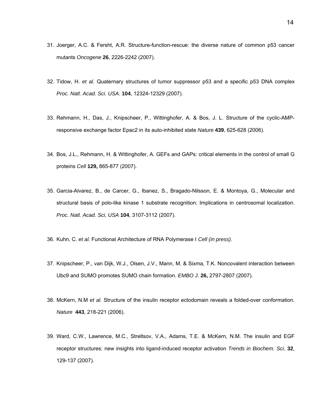- 31. Joerger, A.C. & Fersht, A.R. Structure-function-rescue: the diverse nature of common p53 cancer mutants *Oncogene* **26**, 2226-2242 (2007).
- 32. Tidow, H. *et al*. Quaternary structures of tumor suppressor p53 and a specific p53 DNA complex *Proc. Natl. Acad. Sci. USA*. **104**, 12324-12329 (2007).
- 33. Rehmann, H., Das, J., Knipscheer, P., Wittinghofer, A. & Bos, J. L. Structure of the cyclic-AMPresponsive exchange factor Epac2 in its auto-inhibited state *Nature* **439**, 625-628 (2006).
- 34. Bos, J.L., Rehmann, H. & Wittinghofer, A. GEFs and GAPs: critical elements in the control of small G proteins *Cell* **129,** 865-877 (2007).
- 35. Garcia-Alvarez, B., de Carcer, G., Ibanez, S., Bragado-Nilsson, E. & Montoya, G., Molecular and structural basis of polo-like kinase 1 substrate recognition: Implications in centrosomal localization. *Proc. Natl. Acad. Sci, USA* **104**, 3107-3112 (2007).
- 36. Kuhn, C. *et al.* Functional Architecture of RNA Polymerase I *Cell (in press).*
- 37. Knipscheer, P., van Dijk, W.J., Olsen, J.V., Mann, M. & Sixma, T.K. Noncovalent interaction between Ubc9 and SUMO promotes SUMO chain formation. *EMBO J*. **26,** 2797-2807 (2007).
- 38. McKern, N.M *et al.* Structure of the insulin receptor ectodomain reveals a folded-over conformation*. Nature* **443**, 218-221 (2006).
- 39. Ward, C.W., Lawrence, M.C., Streltsov, V.A., Adams, T.E. & McKern, N.M. The insulin and EGF receptor structures: new insights into ligand-induced receptor activation *Trends in Biochem. Sci*, **32**, 129-137 (2007).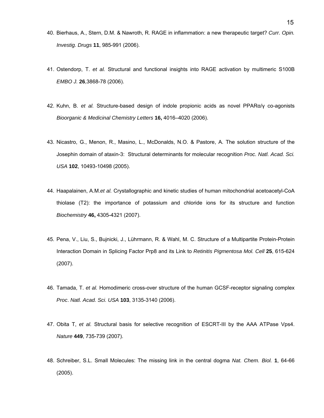- 40. Bierhaus, A., Stern, D.M. & Nawroth, R. RAGE in inflammation: a new therapeutic target? *Curr. Opin. Investig. Drugs* **11**, 985-991 (2006).
- 41. Ostendorp, T. *et al.* Structural and functional insights into RAGE activation by multimeric S100B *EMBO J.* **26**,3868-78 (2006).
- 42. Kuhn, B. *et al.* Structure-based design of indole propionic acids as novel PPARα/γ co-agonists *Bioorganic & Medicinal Chemistry Letters* **16,** 4016–4020 (2006).
- 43. Nicastro, G., Menon, R., Masino, L., McDonalds, N.O. & Pastore, A. The solution structure of the Josephin domain of ataxin-3: Structural determinants for molecular recognition *Proc. Natl. Acad. Sci. USA* **102**, 10493-10498 (2005).
- 44. Haapalainen, A.M.*et al.* Crystallographic and kinetic studies of human mitochondrial acetoacetyl-CoA thiolase (T2): the importance of potassium and chloride ions for its structure and function *Biochemistry* **46,** 4305-4321 (2007).
- 45. Pena, V., Liu, S., Bujnicki, J., Lührmann, R. & Wahl, M. C. Structure of a Multipartite Protein-Protein Interaction Domain in Splicing Factor Prp8 and its Link to *Retinitis Pigmentosa Mol. Cell* **25**, 615-624 (2007).
- 46. Tamada, T. *et al.* Homodimeric cross-over structure of the human GCSF-receptor signaling complex *Proc*. *Natl. Acad. Sci. USA* **103**, 3135-3140 (2006).
- 47. Obita T, *et al.* Structural basis for selective recognition of ESCRT-III by the AAA ATPase Vps4. *Nature* **449**, 735-739 (2007).
- 48. Schreiber, S.L. Small Molecules: The missing link in the central dogma *Nat. Chem. Biol.* **1**, 64-66 (2005).